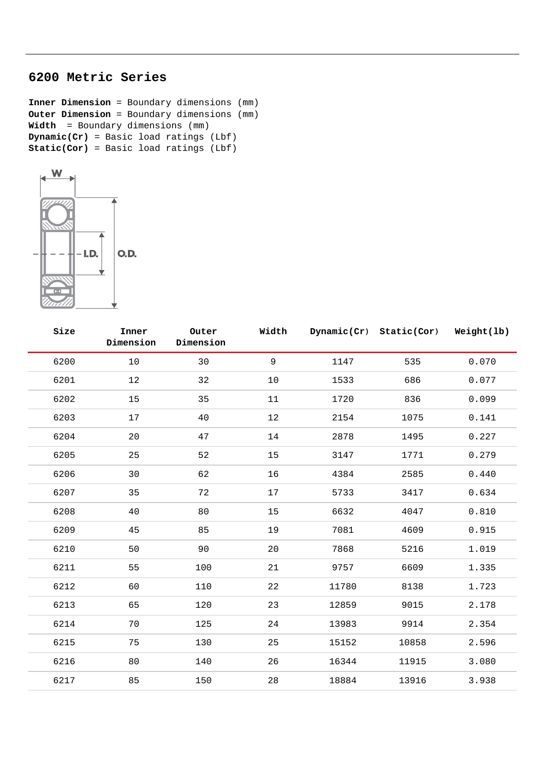## **6200 Metric Series**

**Inner Dimension** = Boundary dimensions (mm) **Outer Dimension** = Boundary dimensions (mm) **Width** = Boundary dimensions (mm) **Dynamic(Cr)** = Basic load ratings (Lbf) **Static(Cor)** = Basic load ratings (Lbf)



| Size | Inner<br>Dimension | Outer<br>Dimension | Width |       | Dynamic(Cr) Static(Cor) | Weight(lb) |
|------|--------------------|--------------------|-------|-------|-------------------------|------------|
| 6200 | 10                 | 30                 | 9     | 1147  | 535                     | 0.070      |
| 6201 | 12                 | 32                 | $10$  | 1533  | 686                     | 0.077      |
| 6202 | 15                 | 35                 | 11    | 1720  | 836                     | 0.099      |
| 6203 | 17                 | 40                 | $12$  | 2154  | 1075                    | 0.141      |
| 6204 | 20                 | 47                 | 14    | 2878  | 1495                    | 0.227      |
| 6205 | 25                 | 52                 | 15    | 3147  | 1771                    | 0.279      |
| 6206 | 30                 | 62                 | 16    | 4384  | 2585                    | 0.440      |
| 6207 | 35                 | 72                 | 17    | 5733  | 3417                    | 0.634      |
| 6208 | 40                 | 80                 | 15    | 6632  | 4047                    | 0.810      |
| 6209 | 45                 | 85                 | 19    | 7081  | 4609                    | 0.915      |
| 6210 | 50                 | 90                 | 20    | 7868  | 5216                    | 1.019      |
| 6211 | 55                 | 100                | 21    | 9757  | 6609                    | 1.335      |
| 6212 | 60                 | 110                | 22    | 11780 | 8138                    | 1.723      |
| 6213 | 65                 | 120                | 23    | 12859 | 9015                    | 2.178      |
| 6214 | 70                 | 125                | 24    | 13983 | 9914                    | 2.354      |
| 6215 | 75                 | 130                | 25    | 15152 | 10858                   | 2.596      |
| 6216 | 80                 | 140                | 26    | 16344 | 11915                   | 3.080      |
| 6217 | 85                 | 150                | 28    | 18884 | 13916                   | 3.938      |